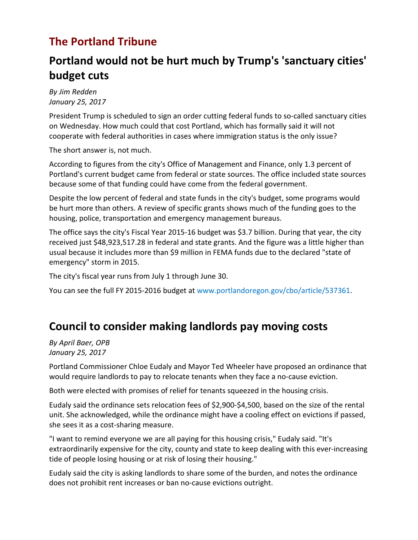# **The Portland Tribune**

# **Portland would not be hurt much by Trump's 'sanctuary cities' budget cuts**

*By Jim Redden January 25, 2017*

President Trump is scheduled to sign an order cutting federal funds to so-called sanctuary cities on Wednesday. How much could that cost Portland, which has formally said it will not cooperate with federal authorities in cases where immigration status is the only issue?

The short answer is, not much.

According to figures from the city's Office of Management and Finance, only 1.3 percent of Portland's current budget came from federal or state sources. The office included state sources because some of that funding could have come from the federal government.

Despite the low percent of federal and state funds in the city's budget, some programs would be hurt more than others. A review of specific grants shows much of the funding goes to the housing, police, transportation and emergency management bureaus.

The office says the city's Fiscal Year 2015-16 budget was \$3.7 billion. During that year, the city received just \$48,923,517.28 in federal and state grants. And the figure was a little higher than usual because it includes more than \$9 million in FEMA funds due to the declared "state of emergency" storm in 2015.

The city's fiscal year runs from July 1 through June 30.

You can see the full FY 2015-2016 budget at [www.portlandoregon.gov/cbo/article/537361.](https://www.portlandoregon.gov/cbo/article/537361)

# **Council to consider making landlords pay moving costs**

*By April Baer, OPB January 25, 2017*

Portland Commissioner Chloe Eudaly and Mayor Ted Wheeler have proposed an ordinance that would require landlords to pay to relocate tenants when they face a no-cause eviction.

Both were elected with promises of relief for tenants squeezed in the housing crisis.

Eudaly said the ordinance sets relocation fees of \$2,900-\$4,500, based on the size of the rental unit. She acknowledged, while the ordinance might have a cooling effect on evictions if passed, she sees it as a cost-sharing measure.

"I want to remind everyone we are all paying for this housing crisis," Eudaly said. "It's extraordinarily expensive for the city, county and state to keep dealing with this ever-increasing tide of people losing housing or at risk of losing their housing."

Eudaly said the city is asking landlords to share some of the burden, and notes the ordinance does not prohibit rent increases or ban no-cause evictions outright.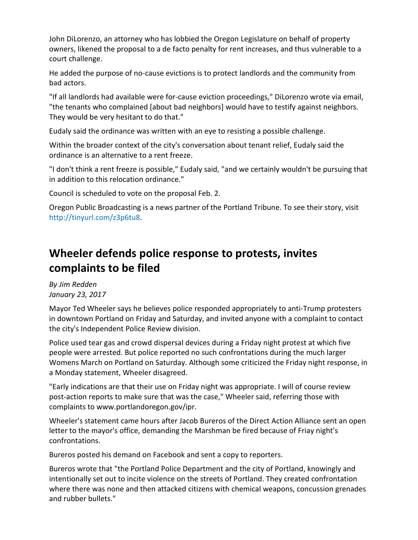John DiLorenzo, an attorney who has lobbied the Oregon Legislature on behalf of property owners, likened the proposal to a de facto penalty for rent increases, and thus vulnerable to a court challenge.

He added the purpose of no-cause evictions is to protect landlords and the community from bad actors.

"If all landlords had available were for-cause eviction proceedings," DiLorenzo wrote via email, "the tenants who complained [about bad neighbors] would have to testify against neighbors. They would be very hesitant to do that."

Eudaly said the ordinance was written with an eye to resisting a possible challenge.

Within the broader context of the city's conversation about tenant relief, Eudaly said the ordinance is an alternative to a rent freeze.

"I don't think a rent freeze is possible," Eudaly said, "and we certainly wouldn't be pursuing that in addition to this relocation ordinance."

Council is scheduled to vote on the proposal Feb. 2.

Oregon Public Broadcasting is a news partner of the Portland Tribune. To see their story, visit http://tinyurl.com/z3p6tu8.

# **Wheeler defends police response to protests, invites complaints to be filed**

*By Jim Redden January 23, 2017*

Mayor Ted Wheeler says he believes police responded appropriately to anti-Trump protesters in downtown Portland on Friday and Saturday, and invited anyone with a complaint to contact the city's Independent Police Review division.

Police used tear gas and crowd dispersal devices during a Friday night protest at which five people were arrested. But police reported no such confrontations during the much larger Womens March on Portland on Saturday. Although some criticized the Friday night response, in a Monday statement, Wheeler disagreed.

"Early indications are that their use on Friday night was appropriate. I will of course review post-action reports to make sure that was the case," Wheeler said, referring those with complaints to [www.portlandoregon.gov/ipr.](https://www.portlandoregon.gov/ipr)

Wheeler's statement came hours after Jacob Bureros of the Direct Action Alliance sent an open letter to the mayor's office, demanding the Marshman be fired because of Friay night's confrontations.

Bureros [posted his demand on Facebook](https://www.facebook.com/permalink.php?story_fbid=161270491030131&id=100014415423545) and sent a copy to reporters.

Bureros wrote that "the Portland Police Department and the city of Portland, knowingly and intentionally set out to incite violence on the streets of Portland. They created confrontation where there was none and then attacked citizens with chemical weapons, concussion grenades and rubber bullets."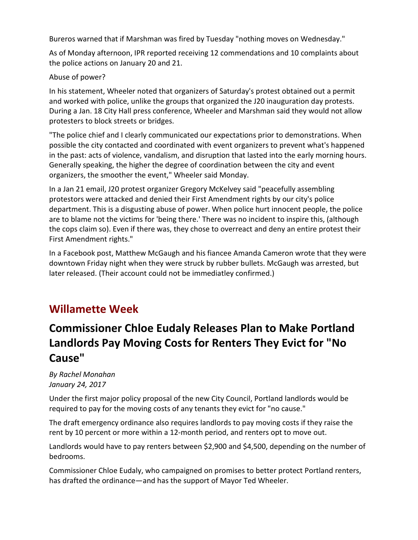Bureros warned that if Marshman was fired by Tuesday "nothing moves on Wednesday."

As of Monday afternoon, IPR reported receiving 12 commendations and 10 complaints about the police actions on January 20 and 21.

#### Abuse of power?

In his statement, Wheeler noted that organizers of Saturday's protest obtained out a permit and worked with police, unlike the groups that organized the J20 inauguration day protests. During a Jan. 18 City Hall press conference, Wheeler and Marshman said they would not allow protesters to block streets or bridges.

"The police chief and I clearly communicated our expectations prior to demonstrations. When possible the city contacted and coordinated with event organizers to prevent what's happened in the past: acts of violence, vandalism, and disruption that lasted into the early morning hours. Generally speaking, the higher the degree of coordination between the city and event organizers, the smoother the event," Wheeler said Monday.

In a Jan 21 email, J20 protest organizer Gregory McKelvey said "peacefully assembling protestors were attacked and denied their First Amendment rights by our city's police department. This is a disgusting abuse of power. When police hurt innocent people, the police are to blame not the victims for 'being there.' There was no incident to inspire this, (although the cops claim so). Even if there was, they chose to overreact and deny an entire protest their First Amendment rights."

In a Facebook post, Matthew McGaugh and his fiancee Amanda Cameron wrote that they were downtown Friday night when they were struck by rubber bullets. McGaugh was arrested, but later released. (Their account could not be immediatley confirmed.)

### **Willamette Week**

# **Commissioner Chloe Eudaly Releases Plan to Make Portland Landlords Pay Moving Costs for Renters They Evict for "No Cause"**

*By Rachel Monahan January 24, 2017*

Under the first major policy proposal of the new City Council, Portland landlords would be required to pay for the moving costs of any tenants they evict for "no cause."

The draft emergency ordinance also requires landlords to pay moving costs if they raise the rent by 10 percent or more within a 12-month period, and renters opt to move out.

Landlords would have to pay renters between \$2,900 and \$4,500, depending on the number of bedrooms.

Commissioner Chloe Eudaly, who campaigned on promises to better protect Portland renters, has drafted the ordinance—and has the support of Mayor Ted Wheeler.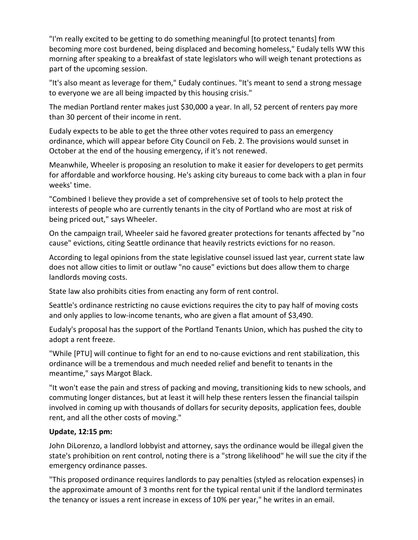"I'm really excited to be getting to do something meaningful [to protect tenants] from becoming more cost burdened, being displaced and becoming homeless," Eudaly tells WW this morning after speaking to a breakfast of state legislators who will weigh tenant protections as part of the upcoming session.

"It's also meant as leverage for them," Eudaly continues. "It's meant to send a strong message to everyone we are all being impacted by this housing crisis."

The median Portland renter makes just \$30,000 a year. In all, 52 percent of renters pay more than 30 percent of their income in rent.

Eudaly expects to be able to get the three other votes required to pass an emergency ordinance, which will appear before City Council on Feb. 2. The provisions would sunset in October at the end of the housing emergency, if it's not renewed.

Meanwhile, Wheeler is proposing an resolution to make it easier for developers to get permits for affordable and workforce housing. He's asking city bureaus to come back with a plan in four weeks' time.

"Combined I believe they provide a set of comprehensive set of tools to help protect the interests of people who are currently tenants in the city of Portland who are most at risk of being priced out," says Wheeler.

On the campaign trail, [Wheeler said he favored greater protections](http://www.oregonlive.com/portland/index.ssf/2016/02/ted_wheeler_wants_rules_for_ju.html) for tenants affected by "no cause" evictions, citing Seattle ordinance that heavily restricts evictions for no reason.

According to legal opinions from the state legislative counsel issued last year, current state law does not allow cities to limit or outlaw "no cause" evictions but does allow them [to charge](http://www.wweek.com/news/2016/10/28/portland-could-pass-law-requiring-landlords-to-pay-moving-costs-after-a-no-cause-eviction/)  [landlords moving costs.](http://www.wweek.com/news/2016/10/28/portland-could-pass-law-requiring-landlords-to-pay-moving-costs-after-a-no-cause-eviction/)

State law also prohibits cities from enacting any form of rent control.

Seattle's ordinance restricting no cause evictions requires the city to pay half of moving costs and only applies to low-income tenants, who are given a flat amount of \$3,490.

Eudaly's proposal has the support of the Portland Tenants Union, which has pushed the city to adopt a rent freeze.

"While [PTU] will continue to fight for an end to no-cause evictions and rent stabilization, this ordinance will be a tremendous and much needed relief and benefit to tenants in the meantime," says Margot Black.

"It won't ease the pain and stress of packing and moving, transitioning kids to new schools, and commuting longer distances, but at least it will help these renters lessen the financial tailspin involved in coming up with thousands of dollars for security deposits, application fees, double rent, and all the other costs of moving."

#### **Update, 12:15 pm:**

John DiLorenzo, a landlord lobbyist and attorney, says the ordinance would be illegal given the state's prohibition on rent control, noting there is a "strong likelihood" he will sue the city if the emergency ordinance passes.

"This proposed ordinance requires landlords to pay penalties (styled as relocation expenses) in the approximate amount of 3 months rent for the typical rental unit if the landlord terminates the tenancy or issues a rent increase in excess of 10% per year," he writes in an email.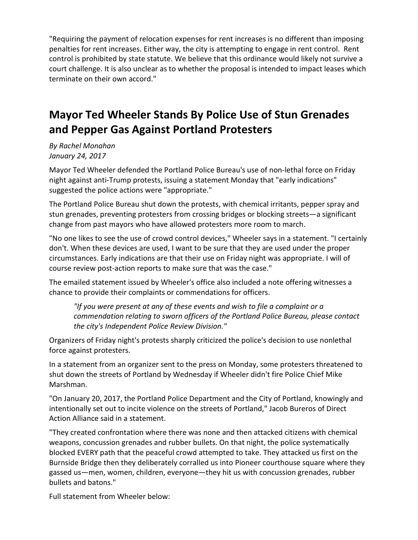"Requiring the payment of relocation expenses for rent increases is no different than imposing penalties for rent increases. Either way, the city is attempting to engage in rent control. Rent control is prohibited by state statute. We believe that this ordinance would likely not survive a court challenge. It is also unclear as to whether the proposal is intended to impact leases which terminate on their own accord."

# **Mayor Ted Wheeler Stands By Police Use of Stun Grenades and Pepper Gas Against Portland Protesters**

*By Rachel Monahan January 24, 2017*

Mayor Ted Wheeler defended the Portland Police Bureau's use of non-lethal force on Friday night against anti-Trump protests, issuing a statement Monday that "early indications" suggested the police actions were "appropriate."

The Portland Police Bureau shut down the protests, with chemical irritants, pepper spray and stun grenades, preventing protesters from crossing bridges or blocking streets—a significant change from past mayors who have allowed protesters more room to march.

"No one likes to see the use of crowd control devices," Wheeler says in a statement. "I certainly don't. When these devices are used, I want to be sure that they are used under the proper circumstances. Early indications are that their use on Friday night was appropriate. I will of course review post-action reports to make sure that was the case."

The emailed statement issued by Wheeler's office also included a note offering witnesses a chance to provide their complaints or commendations for officers.

*"If you were present at any of these events and wish to file a complaint or a commendation relating to sworn officers of the Portland Police Bureau, please contact the city's [Independent Police Review Division.](https://www.portlandoregon.gov/ipr/)"*

Organizers of Friday night's protests sharply criticized the police's decision to use nonlethal force against protesters.

In a statement from an organizer sent to the press on Monday, some protesters threatened to shut down the streets of Portland by Wednesday if Wheeler didn't fire Police Chief Mike Marshman.

"On January 20, 2017, the Portland Police Department and the City of Portland, knowingly and intentionally set out to incite violence on the streets of Portland," Jacob Bureros of Direct Action Alliance said in a statement.

"They created confrontation where there was none and then attacked citizens with chemical weapons, concussion grenades and rubber bullets. On that night, the police systematically blocked EVERY path that the peaceful crowd attempted to take. They attacked us first on the Burnside Bridge then they deliberately corralled us into Pioneer courthouse square where they gassed us—men, women, children, everyone—they hit us with concussion grenades, rubber bullets and batons."

Full statement from Wheeler below: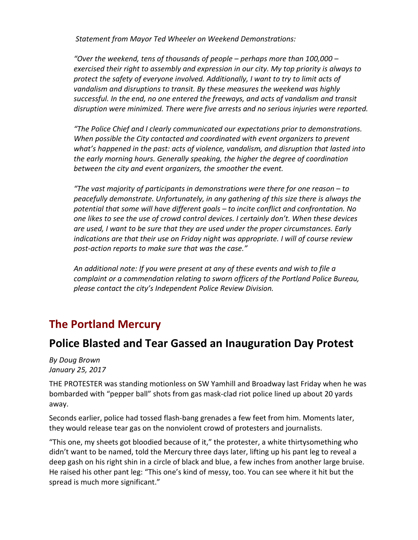*Statement from Mayor Ted Wheeler on Weekend Demonstrations:*

*"Over the weekend, tens of thousands of people – perhaps more than 100,000 – exercised their right to assembly and expression in our city. My top priority is always to protect the safety of everyone involved. Additionally, I want to try to limit acts of vandalism and disruptions to transit. By these measures the weekend was highly successful. In the end, no one entered the freeways, and acts of vandalism and transit disruption were minimized. There were five arrests and no serious injuries were reported.*

*"The Police Chief and I clearly communicated our expectations prior to demonstrations. When possible the City contacted and coordinated with event organizers to prevent what's happened in the past: acts of violence, vandalism, and disruption that lasted into the early morning hours. Generally speaking, the higher the degree of coordination between the city and event organizers, the smoother the event.*

*"The vast majority of participants in demonstrations were there for one reason – to peacefully demonstrate. Unfortunately, in any gathering of this size there is always the potential that some will have different goals – to incite conflict and confrontation. No one likes to see the use of crowd control devices. I certainly don't. When these devices are used, I want to be sure that they are used under the proper circumstances. Early indications are that their use on Friday night was appropriate. I will of course review post-action reports to make sure that was the case."*

*An additional note: If you were present at any of these events and wish to file a complaint or a commendation relating to sworn officers of the Portland Police Bureau, please contact the city's Independent Police Review Division.*

#### **The Portland Mercury**

#### **Police Blasted and Tear Gassed an Inauguration Day Protest**

*By Doug Brown January 25, 2017*

THE PROTESTER was standing motionless on SW Yamhill and Broadway last Friday when he was bombarded with "pepper ball" shots from gas mask-clad riot police lined up about 20 yards away.

Seconds earlier, police had tossed flash-bang grenades a few feet from him. Moments later, they would release tear gas on the nonviolent crowd of protesters and journalists.

"This one, my sheets got bloodied because of it," the protester, a white thirtysomething who didn't want to be named, told the Mercury three days later, lifting up his pant leg to reveal a deep gash on his right shin in a circle of black and blue, a few inches from another large bruise. He raised his other pant leg: "This one's kind of messy, too. You can see where it hit but the spread is much more significant."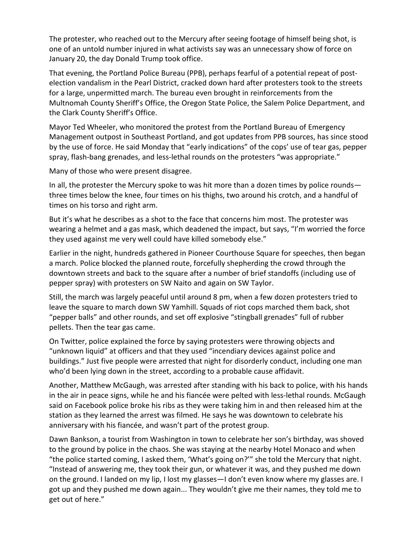The protester, who reached out to the Mercury after seeing footage of himself being shot, is one of an untold number injured in what activists say was an unnecessary show of force on January 20, the day Donald Trump took office.

That evening, the Portland Police Bureau (PPB), perhaps fearful of a potential repeat of [post](http://www.portlandmercury.com/blogtown/2016/11/10/18688166/authorities-have-preemptively-ceded-the-highway-to-anti-trump-again)[election vandalism in the Pearl District,](http://www.portlandmercury.com/blogtown/2016/11/10/18688166/authorities-have-preemptively-ceded-the-highway-to-anti-trump-again) cracked down hard after protesters took to the streets for a large, unpermitted march. The bureau even brought in reinforcements from the Multnomah County Sheriff's Office, the Oregon State Police, the Salem Police Department, and the Clark County Sheriff's Office.

Mayor Ted Wheeler, who monitored the protest from the Portland Bureau of Emergency Management outpost in Southeast Portland, and got updates from PPB sources, has since [stood](https://www.portlandoregon.gov/wheeler/article/624867?)  [by the use of force.](https://www.portlandoregon.gov/wheeler/article/624867?) He said Monday that "early indications" of the cops' use of tear gas, pepper spray, flash-bang grenades, and less-lethal rounds on the protesters "was appropriate."

Many of those who were present disagree.

In all, the protester the Mercury spoke to was hit more than a dozen times by police rounds three times below the knee, four times on his thighs, two around his crotch, and a handful of times on his torso and right arm.

But it's what he describes as a shot to the face that concerns him most. The protester was wearing a helmet and a gas mask, which deadened the impact, but says, "I'm worried the force they used against me very well could have killed somebody else."

Earlier in the night, hundreds gathered in Pioneer Courthouse Square for speeches, then began a march. Police blocked the planned route, forcefully shepherding the crowd through the downtown streets and back to the square after a number of brief standoffs (including use of pepper spray) with protesters on SW Naito and again on SW Taylor.

Still, the march was largely peaceful until around 8 pm, when a few dozen protesters tried to leave the square to march down SW Yamhill. Squads of riot cops marched them back, shot "pepper balls" and other rounds, and set off explosive "stingball grenades" full of rubber pellets. Then the tear gas came.

On Twitter, police explained the force by saying protesters were throwing [objects and](https://twitter.com/PortlandPolice/status/822661826345336833)  ["unknown liquid"](https://twitter.com/PortlandPolice/status/822661826345336833) at officers and that they used ["incendiary devices against police and](https://twitter.com/PortlandPolice/status/822664512381841408)  [buildings."](https://twitter.com/PortlandPolice/status/822664512381841408) Just five people were arrested that night for disorderly conduct, including one man who'd been lying down in the street, according to a probable cause affidavit.

Another, Matthew McGaugh, was arrested after standing with his back to police, with his hands in the air in peace signs, while he and his fiancée were pelted with less-lethal rounds. McGaugh said on Facebook police broke his ribs as they were taking him in and then released him at the station as they learned the arrest was filmed. He says he was downtown to celebrate his anniversary with his fiancée, and wasn't part of the protest group.

Dawn Bankson, a tourist from Washington in town to celebrate her son's birthday, was shoved to the ground by police in the chaos. She was staying at the nearby Hotel Monaco and when "the police started coming, I asked them, 'What's going on?'" she told the Mercury that night. "Instead of answering me, they took their gun, or whatever it was, and they pushed me down on the ground. I landed on my lip, I lost my glasses—I don't even know where my glasses are. I got up and they pushed me down again... They wouldn't give me their names, they told me to get out of here."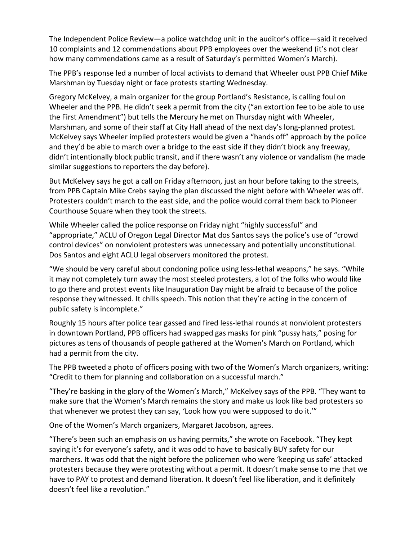The [Independent Police Review—](https://www.portlandoregon.gov/ipr/)a police watchdog unit in the auditor's office—said it received 10 complaints and 12 commendations about PPB employees over the weekend (it's not clear how many commendations came as a result of Saturday's permitted Women's March).

The PPB's response led a number of [local activists to demand that Wheeler oust PPB Chief Mike](http://fightchurchmedia.com/2017/01/23/calls-for-mayor-to-fire-police-chief-launch-citywide-protest-plans/)  [Marshman](http://fightchurchmedia.com/2017/01/23/calls-for-mayor-to-fire-police-chief-launch-citywide-protest-plans/) by Tuesday night or face protests starting Wednesday.

[Gregory McKelvey,](https://twitter.com/GregoryMcKelvey) a main organizer for the group Portland's Resistance, is calling foul on Wheeler and the PPB. He didn't seek a permit from the city ("an extortion fee to be able to use the First Amendment") but tells the Mercury he met on Thursday night with Wheeler, Marshman, and some of their staff at City Hall ahead of the next day's long-planned protest. McKelvey says Wheeler implied protesters would be given a "hands off" approach by the police and they'd be able to march over a bridge to the east side if they didn't block any freeway, didn't intentionally block public transit, and if there wasn't any violence or vandalism (he made similar suggestions to reporters the day before).

But McKelvey says he got a call on Friday afternoon, just an hour before taking to the streets, from PPB Captain Mike Crebs saying the plan discussed the night before with Wheeler was off. Protesters couldn't march to the east side, and the police would corral them back to Pioneer Courthouse Square when they took the streets.

While Wheeler called the police response on Friday night "highly successful" and "appropriate," [ACLU of Oregon Legal Director Mat dos Santos](https://twitter.com/MatPDX) says the police's use of "crowd control devices" on nonviolent protesters was unnecessary and potentially unconstitutional. Dos Santos and eight ACLU legal observers monitored the protest.

"We should be very careful about condoning police using less-lethal weapons," he says. "While it may not completely turn away the most steeled protesters, a lot of the folks who would like to go there and protest events like Inauguration Day might be afraid to because of the police response they witnessed. It chills speech. This notion that they're acting in the concern of public safety is incomplete."

Roughly 15 hours after police tear gassed and fired less-lethal rounds at nonviolent protesters in downtown Portland, PPB officers had [swapped gas masks for pink "pussy hats,"](https://twitter.com/PortlandPolice/status/822972060326502402) posing for pictures as tens of thousands of people gathered at the Women's March on Portland, which had a permit from the city.

The [PPB tweeted a photo](https://twitter.com/PortlandPolice/status/822947779106328576) of officers posing with two of the Women's March organizers, writing: "Credit to them for planning and collaboration on a successful march."

"They're basking in the glory of the Women's March," McKelvey says of the PPB. "They want to make sure that the Women's March remains the story and make us look like bad protesters so that whenever we protest they can say, 'Look how you were supposed to do it.'"

One of the Women's March organizers, Margaret Jacobson, agrees.

"There's been such an emphasis on us having permits," she wrote on Facebook. "They kept saying it's for everyone's safety, and it was odd to have to basically BUY safety for our marchers. It was odd that the night before the policemen who were 'keeping us safe' attacked protesters because they were protesting without a permit. It doesn't make sense to me that we have to PAY to protest and demand liberation. It doesn't feel like liberation, and it definitely doesn't feel like a revolution."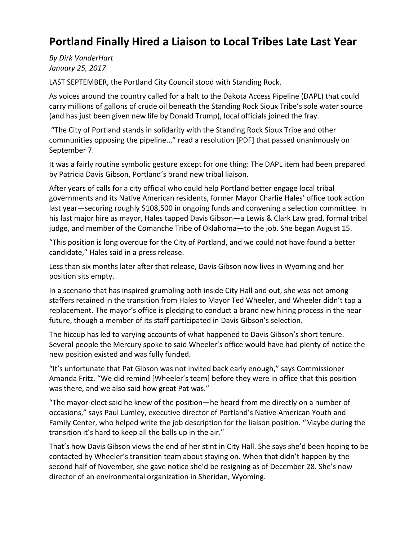# **Portland Finally Hired a Liaison to Local Tribes Late Last Year**

*By Dirk VanderHart January 25, 2017*

LAST SEPTEMBER, the Portland City Council stood with Standing Rock.

As voices around the country called for a halt to the Dakota Access Pipeline (DAPL) that could carry millions of gallons of crude oil beneath the Standing Rock Sioux Tribe's sole water source (and has just been given new life by Donald Trump), local officials joined the fray.

"The City of Portland stands in solidarity with the Standing Rock Sioux Tribe and other communities opposing the pipeline..." read a resolution [\[PDF\]](http://www.portlandmercury.com/images/blogimages/2017/01/25/1485362903-standing_rock_resolution.pdf) that passed unanimously on September 7.

It was a fairly routine symbolic gesture except for one thing: The DAPL item had been prepared by Patricia Davis Gibson, Portland's brand new tribal liaison.

After years of calls for a city official who could help Portland better engage local tribal governments and its Native American residents, former Mayor Charlie Hales' office took action last year—securing roughly \$108,500 in ongoing funds and convening a selection committee. In his last major hire as mayor, Hales tapped Davis Gibson—a Lewis & Clark Law grad, formal tribal judge, and member of the Comanche Tribe of Oklahoma—to the job. She began August 15.

"This position is long overdue for the City of Portland, and we could not have found a better candidate," Hales said in a [press release.](http://us8.campaign-archive2.com/?u=972fe9810472e671e3b3d9d52&id=ca98910f91&e=688042c0e0)

Less than six months later after that release, Davis Gibson now lives in Wyoming and her position sits empty.

In a scenario that has inspired grumbling both inside City Hall and out, she was not among staffers retained in the transition from Hales to Mayor Ted Wheeler, and Wheeler didn't tap a replacement. The mayor's office is pledging to conduct a brand new hiring process in the near future, though a member of its staff participated in Davis Gibson's selection.

The hiccup has led to varying accounts of what happened to Davis Gibson's short tenure. Several people the Mercury spoke to said Wheeler's office would have had plenty of notice the new position existed and was fully funded.

"It's unfortunate that Pat Gibson was not invited back early enough," says Commissioner Amanda Fritz. "We did remind [Wheeler's team] before they were in office that this position was there, and we also said how great Pat was."

"The mayor-elect said he knew of the position—he heard from me directly on a number of occasions," says Paul Lumley, executive director of Portland's Native American Youth and Family Center, who helped write the job description for the liaison position. "Maybe during the transition it's hard to keep all the balls up in the air."

That's how Davis Gibson views the end of her stint in City Hall. She says she'd been hoping to be contacted by Wheeler's transition team about staying on. When that didn't happen by the second half of November, she gave notice she'd be resigning as of December 28. She's now director of an environmental organization in Sheridan, Wyoming.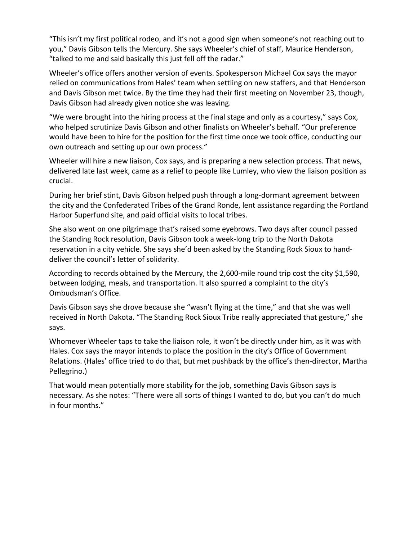"This isn't my first political rodeo, and it's not a good sign when someone's not reaching out to you," Davis Gibson tells the Mercury. She says Wheeler's chief of staff, Maurice Henderson, "talked to me and said basically this just fell off the radar."

Wheeler's office offers another version of events. Spokesperson Michael Cox says the mayor relied on communications from Hales' team when settling on new staffers, and that Henderson and Davis Gibson met twice. By the time they had their first meeting on November 23, though, Davis Gibson had already given notice she was leaving.

"We were brought into the hiring process at the final stage and only as a courtesy," says Cox, who helped scrutinize Davis Gibson and other finalists on Wheeler's behalf. "Our preference would have been to hire for the position for the first time once we took office, conducting our own outreach and setting up our own process."

Wheeler will hire a new liaison, Cox says, and is preparing a new selection process. That news, delivered late last week, came as a relief to people like Lumley, who view the liaison position as crucial.

During her brief stint, Davis Gibson helped push through a long-dormant agreement between the city and the Confederated Tribes of the Grand Ronde, lent assistance regarding the Portland Harbor Superfund site, and paid official visits to local tribes.

She also went on one pilgrimage that's raised some eyebrows. Two days after council passed the Standing Rock resolution, Davis Gibson took a week-long trip to the North Dakota reservation in a city vehicle. She says she'd been asked by the Standing Rock Sioux to handdeliver the council's letter of solidarity.

According to records obtained by the Mercury, the 2,600-mile round trip cost the city \$1,590, between lodging, meals, and transportation. It also spurred a complaint to the city's Ombudsman's Office.

Davis Gibson says she drove because she "wasn't flying at the time," and that she was well received in North Dakota. "The Standing Rock Sioux Tribe really appreciated that gesture," she says.

Whomever Wheeler taps to take the liaison role, it won't be directly under him, as it was with Hales. Cox says the mayor intends to place the position in the city's Office of Government Relations. (Hales' office tried to do that, but met pushback by the office's then-director, Martha Pellegrino.)

That would mean potentially more stability for the job, something Davis Gibson says is necessary. As she notes: "There were all sorts of things I wanted to do, but you can't do much in four months."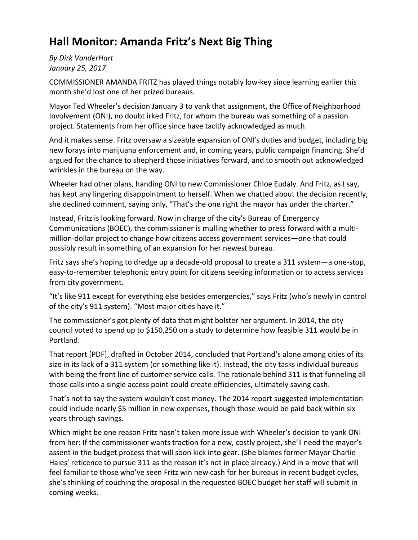# **Hall Monitor: Amanda Fritz's Next Big Thing**

*By Dirk VanderHart January 25, 2017*

COMMISSIONER AMANDA FRITZ has played things notably low-key since learning earlier this month she'd lost one of her prized bureaus.

Mayor Ted Wheeler's decision January 3 to yank that assignment, the Office of Neighborhood Involvement (ONI), no doubt irked Fritz, for whom the bureau was something of a passion project. Statements from her office since have tacitly acknowledged as much.

And it makes sense. Fritz oversaw a sizeable expansion of ONI's duties and budget, including big new forays into marijuana enforcement and, in coming years, public campaign financing. She'd argued for the chance to shepherd those initiatives forward, and to smooth out acknowledged wrinkles in the bureau on the way.

Wheeler had other plans, handing ONI to new Commissioner Chloe Eudaly. And Fritz, as I say, has kept any lingering disappointment to herself. When we chatted about the decision recently, she declined comment, saying only, "That's the one right the mayor has under the charter."

Instead, Fritz is looking forward. Now in charge of the city's Bureau of Emergency Communications (BOEC), the commissioner is mulling whether to press forward with a multimillion-dollar project to change how citizens access government services—one that could possibly result in something of an expansion for her newest bureau.

Fritz says she's hoping to dredge up a decade-old proposal to create a 311 system—a one-stop, easy-to-remember telephonic entry point for citizens seeking information or to access services from city government.

"It's like 911 except for everything else besides emergencies," says Fritz (who's newly in control of the city's 911 system). "Most major cities have it."

The commissioner's got plenty of data that might bolster her argument. In 2014, the city council voted to spend up to \$150,250 on a study to determine how feasible 311 would be in Portland.

That report [\[PDF\]](http://www.portlandmercury.com/images/blogimages/2017/01/25/1485364162-311_study.pdf), drafted in October 2014, concluded that Portland's alone among cities of its size in its lack of a 311 system (or something like it). Instead, the city tasks individual bureaus with being the front line of customer service calls. The rationale behind 311 is that funneling all those calls into a single access point could create efficiencies, ultimately saving cash.

That's not to say the system wouldn't cost money. The 2014 report suggested implementation could include nearly \$5 million in new expenses, though those would be paid back within six years through savings.

Which might be one reason Fritz hasn't taken more issue with Wheeler's decision to yank ONI from her: If the commissioner wants traction for a new, costly project, she'll need the mayor's assent in the budget process that will soon kick into gear. (She blames former Mayor Charlie Hales' reticence to pursue 311 as the reason it's not in place already.) And in a move that will feel familiar to those who've seen Fritz win new cash for her bureaus in recent budget cycles, she's thinking of couching the proposal in the requested BOEC budget her staff will submit in coming weeks.